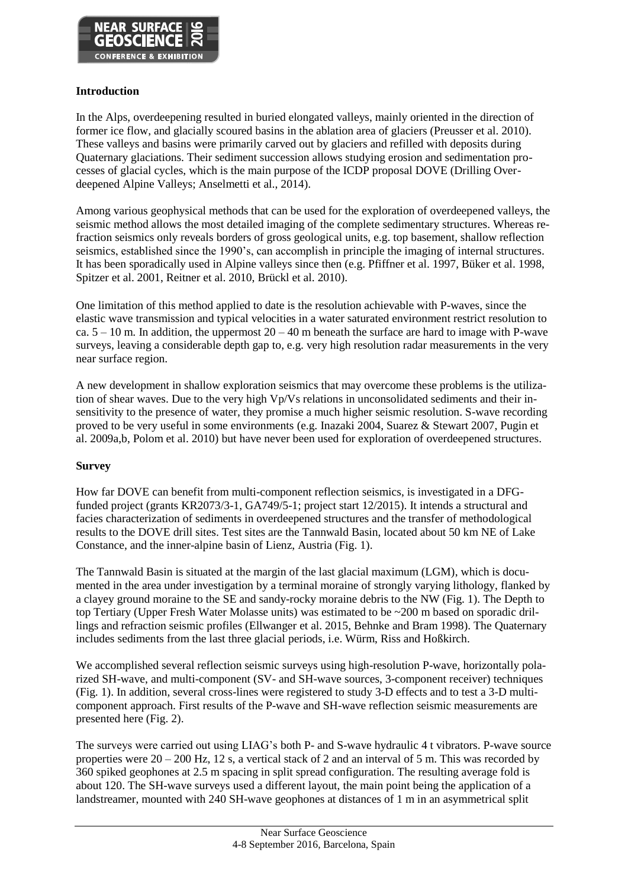

#### **Introduction**

In the Alps, overdeepening resulted in buried elongated valleys, mainly oriented in the direction of former ice flow, and glacially scoured basins in the ablation area of glaciers (Preusser et al. 2010). These valleys and basins were primarily carved out by glaciers and refilled with deposits during Quaternary glaciations. Their sediment succession allows studying erosion and sedimentation processes of glacial cycles, which is the main purpose of the ICDP proposal DOVE (Drilling Overdeepened Alpine Valleys; Anselmetti et al., 2014).

Among various geophysical methods that can be used for the exploration of overdeepened valleys, the seismic method allows the most detailed imaging of the complete sedimentary structures. Whereas refraction seismics only reveals borders of gross geological units, e.g. top basement, shallow reflection seismics, established since the 1990's, can accomplish in principle the imaging of internal structures. It has been sporadically used in Alpine valleys since then (e.g. Pfiffner et al. 1997, Büker et al. 1998, Spitzer et al. 2001, Reitner et al. 2010, Brückl et al. 2010).

One limitation of this method applied to date is the resolution achievable with P-waves, since the elastic wave transmission and typical velocities in a water saturated environment restrict resolution to ca.  $5 - 10$  m. In addition, the uppermost  $20 - 40$  m beneath the surface are hard to image with P-wave surveys, leaving a considerable depth gap to, e.g. very high resolution radar measurements in the very near surface region.

A new development in shallow exploration seismics that may overcome these problems is the utilization of shear waves. Due to the very high Vp/Vs relations in unconsolidated sediments and their insensitivity to the presence of water, they promise a much higher seismic resolution. S-wave recording proved to be very useful in some environments (e.g. Inazaki 2004, Suarez & Stewart 2007, Pugin et al. 2009a,b, Polom et al. 2010) but have never been used for exploration of overdeepened structures.

# **Survey**

How far DOVE can benefit from multi-component reflection seismics, is investigated in a DFGfunded project (grants KR2073/3-1, GA749/5-1; project start 12/2015). It intends a structural and facies characterization of sediments in overdeepened structures and the transfer of methodological results to the DOVE drill sites. Test sites are the Tannwald Basin, located about 50 km NE of Lake Constance, and the inner-alpine basin of Lienz, Austria (Fig. 1).

The Tannwald Basin is situated at the margin of the last glacial maximum (LGM), which is documented in the area under investigation by a terminal moraine of strongly varying lithology, flanked by a clayey ground moraine to the SE and sandy-rocky moraine debris to the NW (Fig. 1). The Depth to top Tertiary (Upper Fresh Water Molasse units) was estimated to be ~200 m based on sporadic drillings and refraction seismic profiles (Ellwanger et al. 2015, Behnke and Bram 1998). The Quaternary includes sediments from the last three glacial periods, i.e. Würm, Riss and Hoßkirch.

We accomplished several reflection seismic surveys using high-resolution P-wave, horizontally polarized SH-wave, and multi-component (SV- and SH-wave sources, 3-component receiver) techniques (Fig. 1). In addition, several cross-lines were registered to study 3-D effects and to test a 3-D multicomponent approach. First results of the P-wave and SH-wave reflection seismic measurements are presented here (Fig. 2).

The surveys were carried out using LIAG's both P- and S-wave hydraulic 4 t vibrators. P-wave source properties were 20 – 200 Hz, 12 s, a vertical stack of 2 and an interval of 5 m. This was recorded by 360 spiked geophones at 2.5 m spacing in split spread configuration. The resulting average fold is about 120. The SH-wave surveys used a different layout, the main point being the application of a landstreamer, mounted with 240 SH-wave geophones at distances of 1 m in an asymmetrical split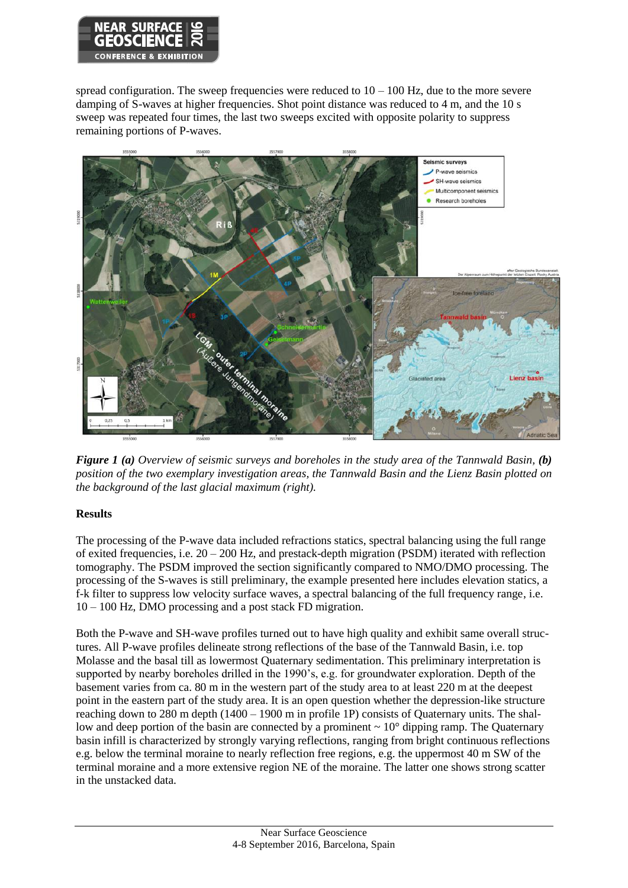

spread configuration. The sweep frequencies were reduced to  $10 - 100$  Hz, due to the more severe damping of S-waves at higher frequencies. Shot point distance was reduced to 4 m, and the 10 s sweep was repeated four times, the last two sweeps excited with opposite polarity to suppress remaining portions of P-waves.



*Figure 1 (a) Overview of seismic surveys and boreholes in the study area of the Tannwald Basin, (b) position of the two exemplary investigation areas, the Tannwald Basin and the Lienz Basin plotted on the background of the last glacial maximum (right).*

# **Results**

The processing of the P-wave data included refractions statics, spectral balancing using the full range of exited frequencies, i.e.  $20 - 200$  Hz, and prestack-depth migration (PSDM) iterated with reflection tomography. The PSDM improved the section significantly compared to NMO/DMO processing. The processing of the S-waves is still preliminary, the example presented here includes elevation statics, a f-k filter to suppress low velocity surface waves, a spectral balancing of the full frequency range, i.e. 10 – 100 Hz, DMO processing and a post stack FD migration.

Both the P-wave and SH-wave profiles turned out to have high quality and exhibit same overall structures. All P-wave profiles delineate strong reflections of the base of the Tannwald Basin, i.e. top Molasse and the basal till as lowermost Quaternary sedimentation. This preliminary interpretation is supported by nearby boreholes drilled in the 1990's, e.g. for groundwater exploration. Depth of the basement varies from ca. 80 m in the western part of the study area to at least 220 m at the deepest point in the eastern part of the study area. It is an open question whether the depression-like structure reaching down to 280 m depth (1400 – 1900 m in profile 1P) consists of Quaternary units. The shallow and deep portion of the basin are connected by a prominent  $\sim 10^{\circ}$  dipping ramp. The Quaternary basin infill is characterized by strongly varying reflections, ranging from bright continuous reflections e.g. below the terminal moraine to nearly reflection free regions, e.g. the uppermost 40 m SW of the terminal moraine and a more extensive region NE of the moraine. The latter one shows strong scatter in the unstacked data.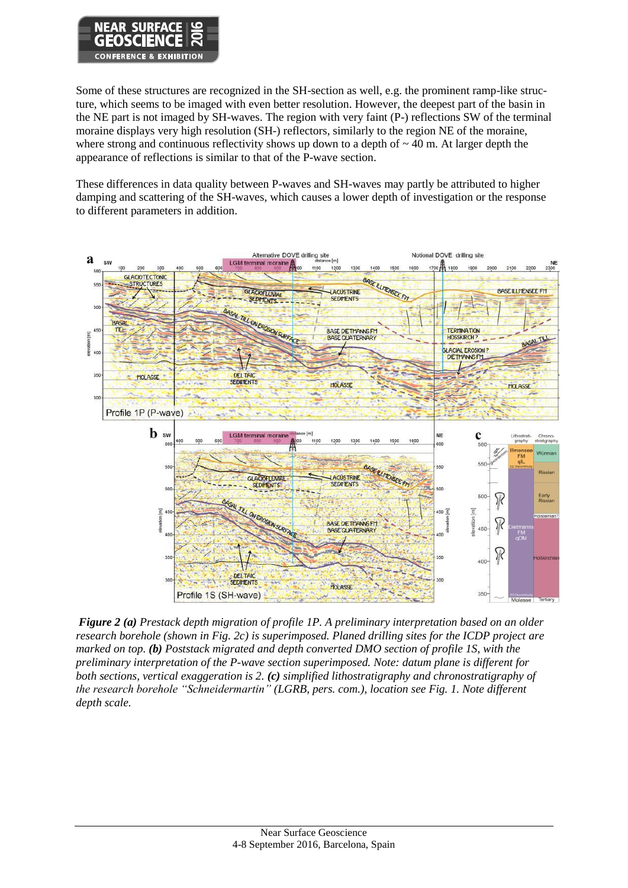

Some of these structures are recognized in the SH-section as well, e.g. the prominent ramp-like structure, which seems to be imaged with even better resolution. However, the deepest part of the basin in the NE part is not imaged by SH-waves. The region with very faint (P-) reflections SW of the terminal moraine displays very high resolution (SH-) reflectors, similarly to the region NE of the moraine, where strong and continuous reflectivity shows up down to a depth of  $\sim$  40 m. At larger depth the appearance of reflections is similar to that of the P-wave section.

These differences in data quality between P-waves and SH-waves may partly be attributed to higher damping and scattering of the SH-waves, which causes a lower depth of investigation or the response to different parameters in addition.



*Figure 2 (a) Prestack depth migration of profile 1P. A preliminary interpretation based on an older research borehole (shown in Fig. 2c) is superimposed. Planed drilling sites for the ICDP project are marked on top. (b) Poststack migrated and depth converted DMO section of profile 1S, with the preliminary interpretation of the P-wave section superimposed. Note: datum plane is different for both sections, vertical exaggeration is 2. (c) simplified lithostratigraphy and chronostratigraphy of the research borehole "Schneidermartin" (LGRB, pers. com.), location see Fig. 1. Note different depth scale.*